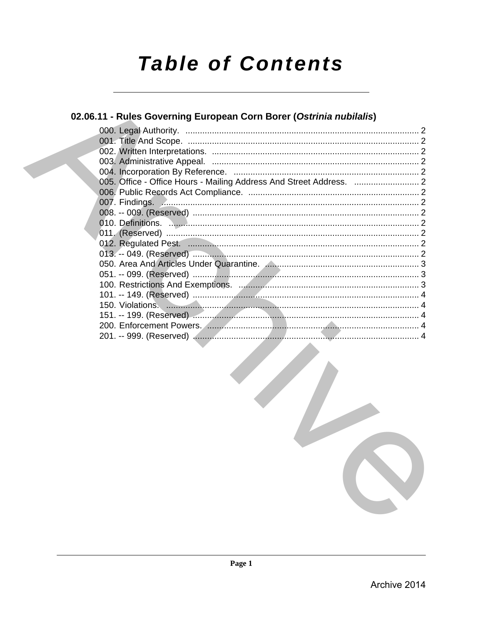## **Table of Contents**

### 02.06.11 - Rules Governing European Corn Borer (Ostrinia nubilalis)

| 007. Findings. Announcement contracts and contracts and contracts are contracted and contracts are contracted a |  |
|-----------------------------------------------------------------------------------------------------------------|--|
|                                                                                                                 |  |
|                                                                                                                 |  |
|                                                                                                                 |  |
|                                                                                                                 |  |
|                                                                                                                 |  |
|                                                                                                                 |  |
|                                                                                                                 |  |
|                                                                                                                 |  |
|                                                                                                                 |  |
|                                                                                                                 |  |
|                                                                                                                 |  |
|                                                                                                                 |  |
|                                                                                                                 |  |
|                                                                                                                 |  |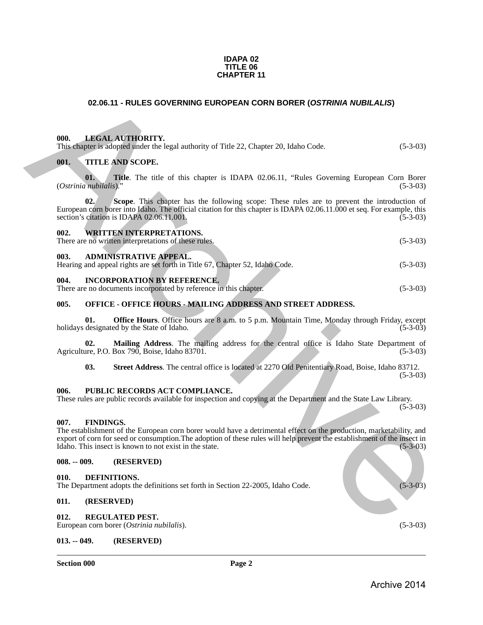#### **IDAPA 02 TITLE 06 CHAPTER 11**

#### <span id="page-1-0"></span>**02.06.11 - RULES GOVERNING EUROPEAN CORN BORER (***OSTRINIA NUBILALIS***)**

#### <span id="page-1-1"></span>**000. LEGAL AUTHORITY.**

<span id="page-1-2"></span>

| This chapter is adopted under the legal authority of Title 22, Chapter 20, Idaho Code. | $(5-3-0.3)$ |
|----------------------------------------------------------------------------------------|-------------|
| 001.<br><b>TITLE AND SCOPE.</b>                                                        |             |

**01.** Title. The title of this chapter is IDAPA 02.06.11, "Rules Governing European Corn Borer *nubilalis*)." (5-3-03) (Ostrinia nubilalis)."

**02. Scope**. This chapter has the following scope: These rules are to prevent the introduction of European corn borer into Idaho. The official citation for this chapter is IDAPA 02.06.11.000 et seq. For example, this section's citation is IDAPA 02.06.11.001, section's citation is IDAPA 02.06.11.001. **02.06.11 - RULES GOVERNING EUROPEAN CORN BORER (OSTRINIA NUBILALIS)**<br> **(a)**<br> **(b)**<br> **(b)**<br> **(b)**<br> **(b)**<br> **(b)**<br> **(b)**<br> **(b)**<br> **(b)**<br> **(b)**<br> **(c)**<br> **(b)**<br> **(c)**<br> **(c)**<br> **(c)**<br> **(c)**<br> **(c)**<br> **(c)**<br> **(c)**<br> **(c)**<br> **(c)**<br> **(c** 

#### <span id="page-1-3"></span>**002. WRITTEN INTERPRETATIONS.** There are no written interpretations of these rules. (5-3-03)

#### <span id="page-1-4"></span>**003. ADMINISTRATIVE APPEAL.**

| Hearing and appeal rights are set forth in Title 67, Chapter 52, Idaho Code. |  | $(5-3-03)$ |
|------------------------------------------------------------------------------|--|------------|
|                                                                              |  |            |

#### <span id="page-1-5"></span>**004. INCORPORATION BY REFERENCE.**

There are no documents incorporated by reference in this chapter. (5-3-03)

#### <span id="page-1-6"></span>**005. OFFICE - OFFICE HOURS - MAILING ADDRESS AND STREET ADDRESS.**

**01. Office Hours**. Office hours are 8 a.m. to 5 p.m. Mountain Time, Monday through Friday, except designated by the State of Idaho. (5-3-03) holidays designated by the State of Idaho.

**02.** Mailing Address. The mailing address for the central office is Idaho State Department of are, P.O. Box 790, Boise, Idaho 83701. (5-3-03) Agriculture, P.O. Box 790, Boise, Idaho 83701.

**03. Street Address**. The central office is located at 2270 Old Penitentiary Road, Boise, Idaho 83712.  $(5-3-03)$ 

#### <span id="page-1-7"></span>**006. PUBLIC RECORDS ACT COMPLIANCE.**

These rules are public records available for inspection and copying at the Department and the State Law Library.  $(5-3-03)$ 

#### <span id="page-1-8"></span>**007. FINDINGS.**

The establishment of the European corn borer would have a detrimental effect on the production, marketability, and export of corn for seed or consumption. The adoption of these rules will help prevent the establishment of the insect in Idaho. This insect is known to not exist in the state. (5-3-03) Idaho. This insect is known to not exist in the state.

#### <span id="page-1-9"></span>**008. -- 009. (RESERVED)**

#### <span id="page-1-10"></span>**010. DEFINITIONS.**

The Department adopts the definitions set forth in Section 22-2005, Idaho Code. (5-3-03)

#### <span id="page-1-11"></span>**011. (RESERVED)**

#### <span id="page-1-14"></span><span id="page-1-12"></span>**012. REGULATED PEST.**

European corn borer (*Ostrinia nubilalis*). (5-3-03)

#### <span id="page-1-13"></span>**013. -- 049. (RESERVED)**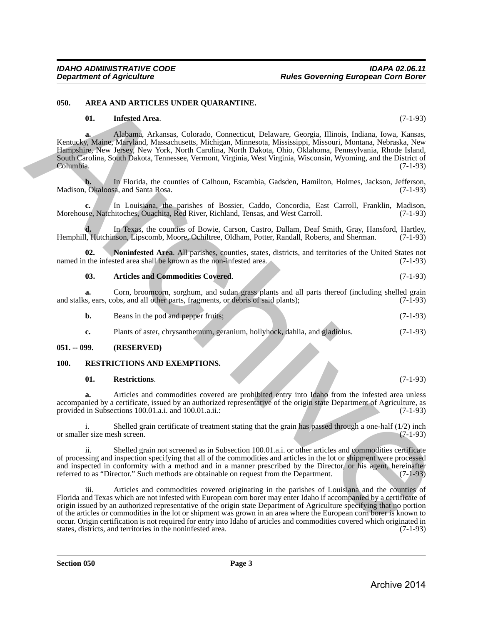#### <span id="page-2-0"></span>**050. AREA AND ARTICLES UNDER QUARANTINE.**

#### <span id="page-2-4"></span>**01. Infested Area**. (7-1-93)

**a.** Alabama, Arkansas, Colorado, Connecticut, Delaware, Georgia, Illinois, Indiana, Iowa, Kansas, Kentucky, Maine, Maryland, Massachusetts, Michigan, Minnesota, Mississippi, Missouri, Montana, Nebraska, New Hampshire, New Jersey, New York, North Carolina, North Dakota, Ohio, Oklahoma, Pennsylvania, Rhode Island, South Carolina, South Dakota, Tennessee, Vermont, Virginia, West Virginia, Wisconsin, Wyoming, and the District of Columbia. (7-1-93)

**b.** In Florida, the counties of Calhoun, Escambia, Gadsden, Hamilton, Holmes, Jackson, Jefferson, Okaloosa, and Santa Rosa. (7-1-93) Madison, Okaloosa, and Santa Rosa.

**c.** In Louisiana, the parishes of Bossier, Caddo, Concordia, East Carroll, Franklin, Madison, Morehouse, Natchitoches, Ouachita, Red River, Richland, Tensas, and West Carroll.

**d.** In Texas, the counties of Bowie, Carson, Castro, Dallam, Deaf Smith, Gray, Hansford, Hartley, Hemphill, Hutchinson, Lipscomb, Moore, Ochiltree, Oldham, Potter, Randall, Roberts, and Sherman. (7-1-93)

**02.** Noninfested Area. All parishes, counties, states, districts, and territories of the United States not the infested area shall be known as the non-infested area. (7-1-93) named in the infested area shall be known as the non-infested area.

<span id="page-2-5"></span><span id="page-2-3"></span>**03. Articles and Commodities Covered**. (7-1-93)

**a.** Corn, broomcorn, sorghum, and sudan grass plants and all parts thereof (including shelled grain is, ears, cobs, and all other parts, fragments, or debris of said plants); (7-1-93) and stalks, ears, cobs, and all other parts, fragments, or debris of said plants);

- **b.** Beans in the pod and pepper fruits; (7-1-93)
- **c.** Plants of aster, chrysanthemum, geranium, hollyhock, dahlia, and gladiolus. (7-1-93)

#### <span id="page-2-1"></span>**051. -- 099. (RESERVED)**

#### <span id="page-2-2"></span>**100. RESTRICTIONS AND EXEMPTIONS.**

#### <span id="page-2-6"></span>**01. Restrictions**. (7-1-93)

**a.** Articles and commodities covered are prohibited entry into Idaho from the infested area unless accompanied by a certificate, issued by an authorized representative of the origin state Department of Agriculture, as<br>(7-1-93) (7-1-93) provided in Subsections 100.01.a.i. and 100.01.a.ii.:

i. Shelled grain certificate of treatment stating that the grain has passed through a one-half  $(1/2)$  inch er size mesh screen.  $(7-1-93)$ or smaller size mesh screen.

ii. Shelled grain not screened as in Subsection 100.01.a.i. or other articles and commodities certificate of processing and inspection specifying that all of the commodities and articles in the lot or shipment were processed and inspected in conformity with a method and in a manner prescribed by the Director, or his agent, hereinafter referred to as "Director." Such methods are obtainable on request from the Department. (7-1-93)

iii. Articles and commodities covered originating in the parishes of Louisiana and the counties of Florida and Texas which are not infested with European corn borer may enter Idaho if accompanied by a certificate of origin issued by an authorized representative of the origin state Department of Agriculture specifying that no portion of the articles or commodities in the lot or shipment was grown in an area where the European corn borer is known to occur. Origin certification is not required for entry into Idaho of articles and commodities covered which originated in states, districts, and territories in the noninfested area. (7-1-93) states, districts, and territories in the noninfested area. 684. AREA AND ARTICLES UNDER QUARANTIVE.<br>
(71-93)<br>
(81. Inferior Archives, Colondo, Connective Connective Connective Connective Connective Connective Connective Connective Connective Connective Connective Connective Conne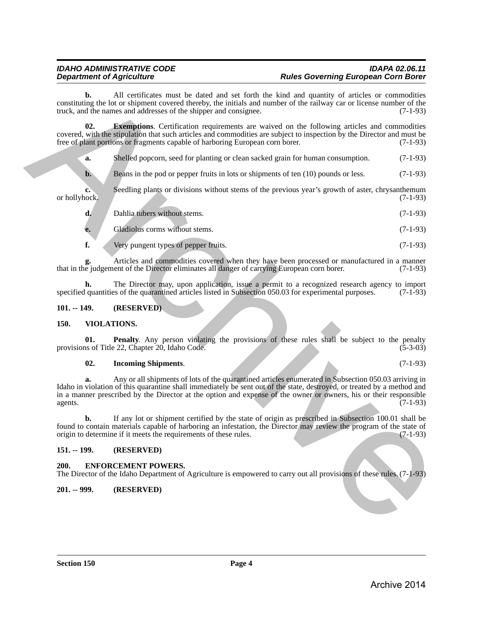**b.** All certificates must be dated and set forth the kind and quantity of articles or commodities constituting the lot or shipment covered thereby, the initials and number of the railway car or license number of the truck, and the names and addresses of the shipper and consignee. (7-1-93) truck, and the names and addresses of the shipper and consignee.

**02. Exemptions**. Certification requirements are waived on the following articles and commodities covered, with the stipulation that such articles and commodities are subject to inspection by the Director and must be free of plant portions or fragments capable of harboring European corn borer. (7-1-93) free of plant portions or fragments capable of harboring European corn borer.

<span id="page-3-5"></span>**a.** Shelled popcorn, seed for planting or clean sacked grain for human consumption. (7-1-93)

**b.** Beans in the pod or pepper fruits in lots or shipments of ten (10) pounds or less. (7-1-93)

**c.** Seedling plants or divisions without stems of the previous year's growth of aster, chrysanthemum or hollyhock. (7-1-93) or hollyhock. (7-1-93)

| d. | Dahlia tubers without stems. | $(7-1-93)$ |
|----|------------------------------|------------|

**e.** Gladiolus corms without stems. (7-1-93)

**f.** Very pungent types of pepper fruits. (7-1-93)

Articles and commodities covered when they have been processed or manufactured in a manner<br>ent of the Director eliminates all danger of carrying European corn borer. (7-1-93) that in the judgement of the Director eliminates all danger of carrying European corn borer.

**h.** The Director may, upon application, issue a permit to a recognized research agency to import quantities of the quarantined articles listed in Subsection 050.03 for experimental purposes. (7-1-93) specified quantities of the quarantined articles listed in Subsection 050.03 for experimental purposes.

#### <span id="page-3-0"></span>**101. -- 149. (RESERVED)**

#### <span id="page-3-1"></span>**150. VIOLATIONS.**

**01. Penalty**. Any person violating the provisions of these rules shall be subject to the penalty is of Title 22, Chapter 20, Idaho Code. (5-3-03) provisions of Title 22, Chapter 20, Idaho Code.

#### <span id="page-3-7"></span><span id="page-3-6"></span>**02. Incoming Shipments**. (7-1-93)

**a.** Any or all shipments of lots of the quarantined articles enumerated in Subsection 050.03 arriving in Idaho in violation of this quarantine shall immediately be sent out of the state, destroyed, or treated by a method and in a manner prescribed by the Director at the option and expense of the owner or owners, his or their responsible agents. (7-1-93) agents.  $(7-1-93)$ consisting the loc of Alterina must be detailed and set that has been anti-set of the contrast of the contrast of the contrast of the contrast of the contrast of the contrast of the contrast of the contrast of the contras

**b.** If any lot or shipment certified by the state of origin as prescribed in Subsection 100.01 shall be found to contain materials capable of harboring an infestation, the Director may review the program of the state of origin to determine if it meets the requirements of these rules. (7-1-93) origin to determine if it meets the requirements of these rules.

#### <span id="page-3-2"></span>**151. -- 199. (RESERVED)**

#### <span id="page-3-3"></span>**200. ENFORCEMENT POWERS.**

The Director of the Idaho Department of Agriculture is empowered to carry out all provisions of these rules. (7-1-93)

#### <span id="page-3-4"></span>**201. -- 999. (RESERVED)**